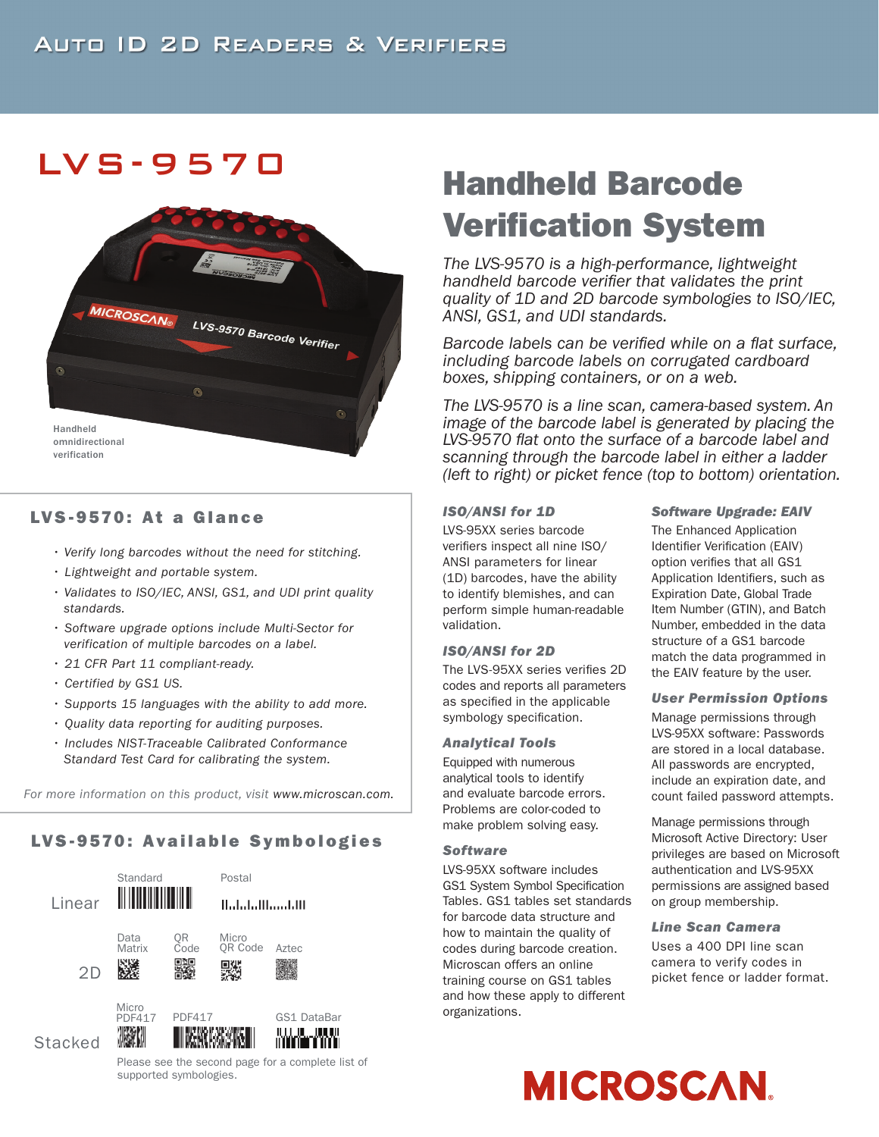# LVS -9570



# LVS-9570: At a Glance

- *Verify long barcodes without the need for stitching.*
- *Lightweight and portable system.*
- *Validates to ISO/IEC, ANSI, GS1, and UDI print quality standards.*
- *Software upgrade options include Multi-Sector for verification of multiple barcodes on a label.*
- *21 CFR Part 11 compliant-ready.*
- *Certified by GS1 US.*
- *Supports 15 languages with the ability to add more.*
- *Quality data reporting for auditing purposes.*
- *Includes NIST-Traceable Calibrated Conformance Standard Test Card for calibrating the system.*

*For more information on this product, visit www.microscan.com.*

# LVS-9570: Available Symbologies



# *The LVS-9570 is a high-performance, lightweight*  Verification System

Handheld Barcode

*handheld barcode verifier that validates the print quality of 1D and 2D barcode symbologies to ISO/IEC, ANSI, GS1, and UDI standards.* 

*Barcode labels can be verified while on a flat surface, including barcode labels on corrugated cardboard boxes, shipping containers, or on a web.* 

*The LVS-9570 is a line scan, camera-based system. An image of the barcode label is generated by placing the LVS-9570 flat onto the surface of a barcode label and scanning through the barcode label in either a ladder (left to right) or picket fence (top to bottom) orientation.*

### *ISO/ANSI for 1D*

LVS-95XX series barcode verifiers inspect all nine ISO/ ANSI parameters for linear (1D) barcodes, have the ability to identify blemishes, and can perform simple human-readable validation.

#### *ISO/ANSI for 2D*

The LVS-95XX series verifies 2D codes and reports all parameters as specified in the applicable symbology specification.

#### *Analytical Tools*

Equipped with numerous analytical tools to identify and evaluate barcode errors. Problems are color-coded to make problem solving easy.

#### *Software*

LVS-95XX software includes GS1 System Symbol Specification Tables. GS1 tables set standards for barcode data structure and how to maintain the quality of codes during barcode creation. Microscan offers an online training course on GS1 tables and how these apply to different organizations.

#### *Software Upgrade: EAIV*

The Enhanced Application Identifier Verification (EAIV) option verifies that all GS1 Application Identifiers, such as Expiration Date, Global Trade Item Number (GTIN), and Batch Number, embedded in the data structure of a GS1 barcode match the data programmed in the EAIV feature by the user.

#### *User Permission Options*

Manage permissions through LVS-95XX software: Passwords are stored in a local database. All passwords are encrypted, include an expiration date, and count failed password attempts.

Manage permissions through Microsoft Active Directory: User privileges are based on Microsoft authentication and LVS-95XX permissions are assigned based on group membership.

*Line Scan Camera*

Uses a 400 DPI line scan camera to verify codes in picket fence or ladder format.



Please see the second page for a complete list of supported symbologies.